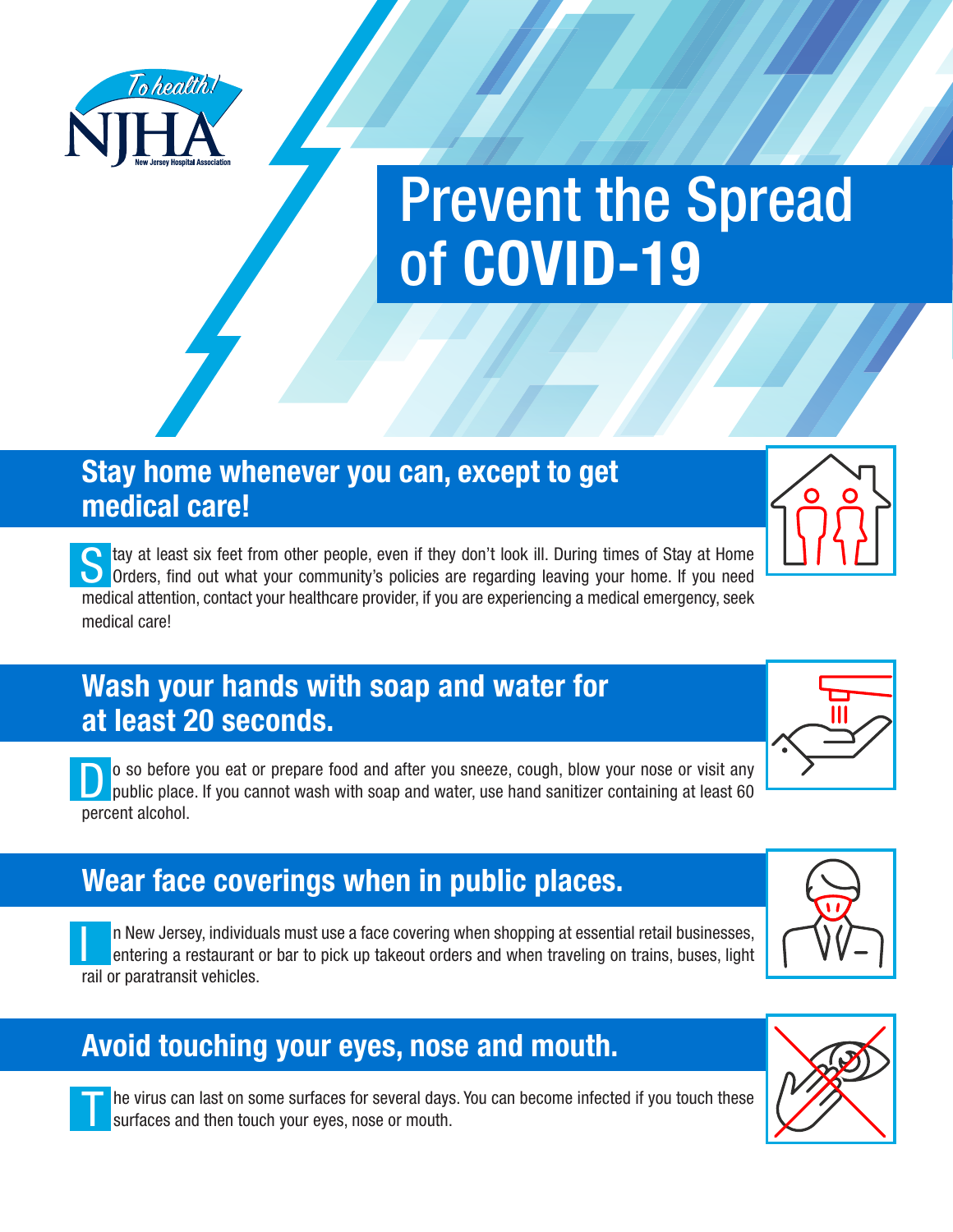

# Prevent the Spread of **COVID-19**

#### **Stay home whenever you can, except to get medical care!**

tay at least six feet from other people, even if they don't look ill. During times of Stay at Home O Orders, find out what your community's policies are regarding leaving your home. If you need medical attention, contact your healthcare provider, if you are experiencing a medical emergency, seek medical care!

#### **Wash your hands with soap and water for at least 20 seconds.**

o so before you eat or prepare food and after you sneeze, cough, blow your nose or visit any public place. If you cannot wash with soap and water, use hand sanitizer containing at least 60 percent alcohol.

# **Wear face coverings when in public places.**

I n New Jersey, individuals must use a face covering when shopping at essential retail businesses, entering a restaurant or bar to pick up takeout orders and when traveling on trains, buses, light rail or paratransit vehicles.

## **Avoid touching your eyes, nose and mouth.**

he virus can last on some surfaces for several days. You can become infected if you touch these surfaces and then touch your eyes, nose or mouth.